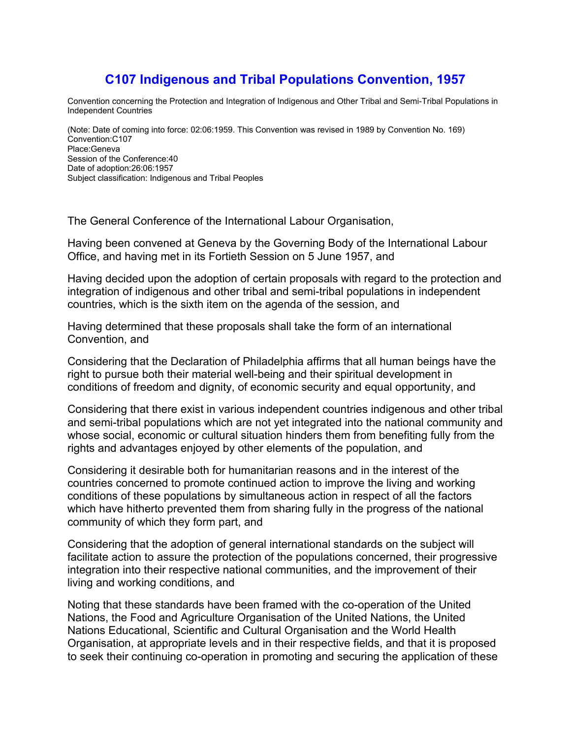# **C107 Indigenous and Tribal Populations Convention, 1957**

Convention concerning the Protection and Integration of Indigenous and Other Tribal and Semi-Tribal Populations in Independent Countries

(Note: Date of coming into force: 02:06:1959. This Convention was revised in 1989 by Convention No. 169) Convention:C107 Place:Geneva Session of the Conference:40 Date of adoption:26:06:1957 Subject classification: Indigenous and Tribal Peoples

The General Conference of the International Labour Organisation,

Having been convened at Geneva by the Governing Body of the International Labour Office, and having met in its Fortieth Session on 5 June 1957, and

Having decided upon the adoption of certain proposals with regard to the protection and integration of indigenous and other tribal and semi-tribal populations in independent countries, which is the sixth item on the agenda of the session, and

Having determined that these proposals shall take the form of an international Convention, and

Considering that the Declaration of Philadelphia affirms that all human beings have the right to pursue both their material well-being and their spiritual development in conditions of freedom and dignity, of economic security and equal opportunity, and

Considering that there exist in various independent countries indigenous and other tribal and semi-tribal populations which are not yet integrated into the national community and whose social, economic or cultural situation hinders them from benefiting fully from the rights and advantages enjoyed by other elements of the population, and

Considering it desirable both for humanitarian reasons and in the interest of the countries concerned to promote continued action to improve the living and working conditions of these populations by simultaneous action in respect of all the factors which have hitherto prevented them from sharing fully in the progress of the national community of which they form part, and

Considering that the adoption of general international standards on the subject will facilitate action to assure the protection of the populations concerned, their progressive integration into their respective national communities, and the improvement of their living and working conditions, and

Noting that these standards have been framed with the co-operation of the United Nations, the Food and Agriculture Organisation of the United Nations, the United Nations Educational, Scientific and Cultural Organisation and the World Health Organisation, at appropriate levels and in their respective fields, and that it is proposed to seek their continuing co-operation in promoting and securing the application of these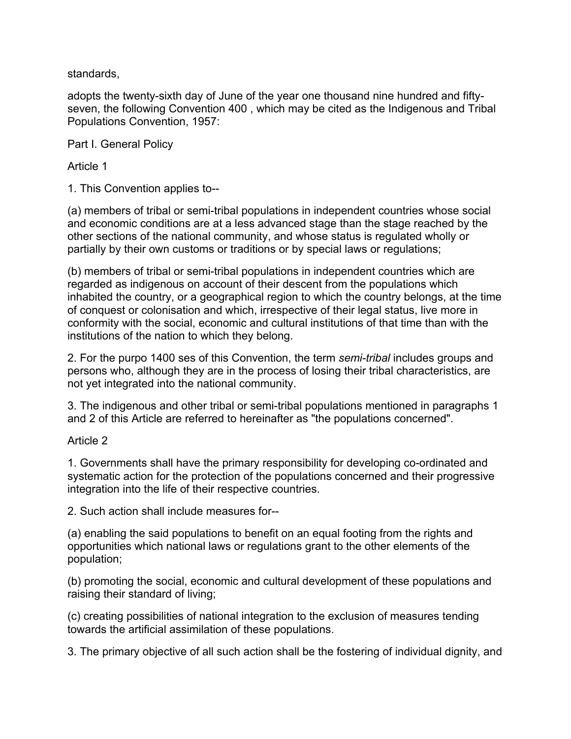standards,

adopts the twenty-sixth day of June of the year one thousand nine hundred and fiftyseven, the following Convention 400 , which may be cited as the Indigenous and Tribal Populations Convention, 1957:

Part I. General Policy

Article 1

1. This Convention applies to--

(a) members of tribal or semi-tribal populations in independent countries whose social and economic conditions are at a less advanced stage than the stage reached by the other sections of the national community, and whose status is regulated wholly or partially by their own customs or traditions or by special laws or regulations;

(b) members of tribal or semi-tribal populations in independent countries which are regarded as indigenous on account of their descent from the populations which inhabited the country, or a geographical region to which the country belongs, at the time of conquest or colonisation and which, irrespective of their legal status, live more in conformity with the social, economic and cultural institutions of that time than with the institutions of the nation to which they belong.

2. For the purpo 1400 ses of this Convention, the term *semi-tribal* includes groups and persons who, although they are in the process of losing their tribal characteristics, are not yet integrated into the national community.

3. The indigenous and other tribal or semi-tribal populations mentioned in paragraphs 1 and 2 of this Article are referred to hereinafter as "the populations concerned".

#### Article 2

1. Governments shall have the primary responsibility for developing co-ordinated and systematic action for the protection of the populations concerned and their progressive integration into the life of their respective countries.

2. Such action shall include measures for--

(a) enabling the said populations to benefit on an equal footing from the rights and opportunities which national laws or regulations grant to the other elements of the population;

(b) promoting the social, economic and cultural development of these populations and raising their standard of living;

(c) creating possibilities of national integration to the exclusion of measures tending towards the artificial assimilation of these populations.

3. The primary objective of all such action shall be the fostering of individual dignity, and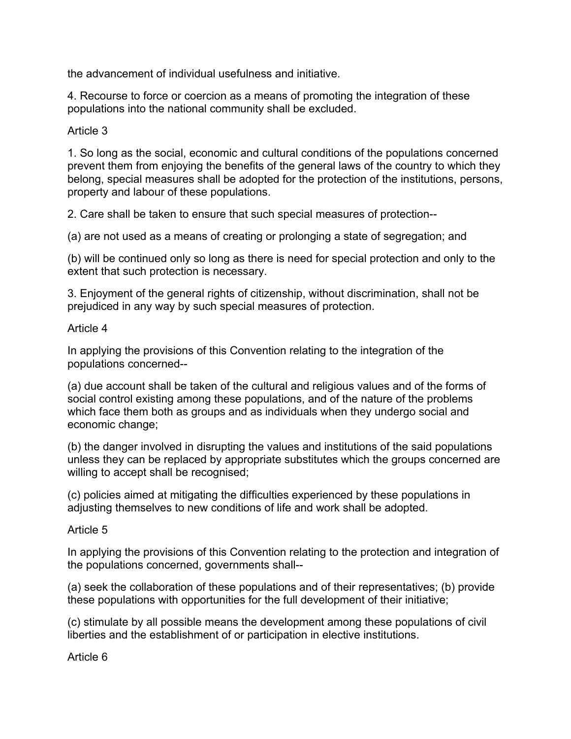the advancement of individual usefulness and initiative.

4. Recourse to force or coercion as a means of promoting the integration of these populations into the national community shall be excluded.

### Article 3

1. So long as the social, economic and cultural conditions of the populations concerned prevent them from enjoying the benefits of the general laws of the country to which they belong, special measures shall be adopted for the protection of the institutions, persons, property and labour of these populations.

2. Care shall be taken to ensure that such special measures of protection--

(a) are not used as a means of creating or prolonging a state of segregation; and

(b) will be continued only so long as there is need for special protection and only to the extent that such protection is necessary.

3. Enjoyment of the general rights of citizenship, without discrimination, shall not be prejudiced in any way by such special measures of protection.

### Article 4

In applying the provisions of this Convention relating to the integration of the populations concerned--

(a) due account shall be taken of the cultural and religious values and of the forms of social control existing among these populations, and of the nature of the problems which face them both as groups and as individuals when they undergo social and economic change;

(b) the danger involved in disrupting the values and institutions of the said populations unless they can be replaced by appropriate substitutes which the groups concerned are willing to accept shall be recognised;

(c) policies aimed at mitigating the difficulties experienced by these populations in adjusting themselves to new conditions of life and work shall be adopted.

#### Article 5

In applying the provisions of this Convention relating to the protection and integration of the populations concerned, governments shall--

(a) seek the collaboration of these populations and of their representatives; (b) provide these populations with opportunities for the full development of their initiative;

(c) stimulate by all possible means the development among these populations of civil liberties and the establishment of or participation in elective institutions.

Article 6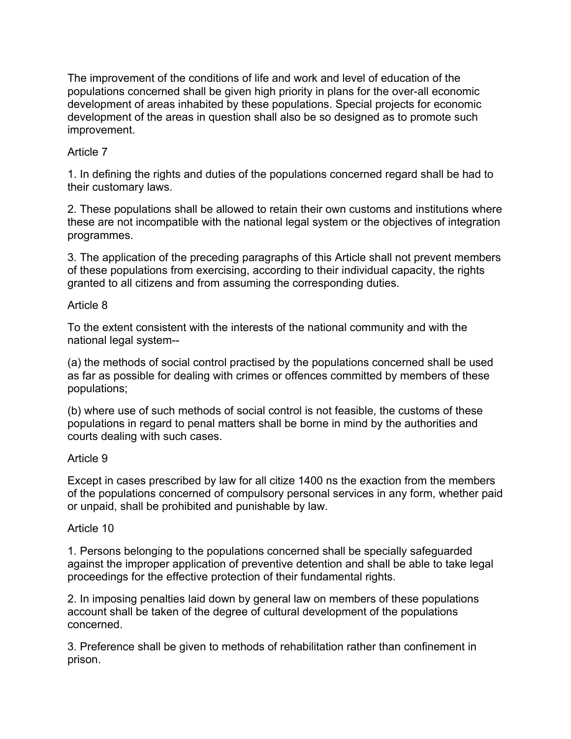The improvement of the conditions of life and work and level of education of the populations concerned shall be given high priority in plans for the over-all economic development of areas inhabited by these populations. Special projects for economic development of the areas in question shall also be so designed as to promote such improvement.

### Article 7

1. In defining the rights and duties of the populations concerned regard shall be had to their customary laws.

2. These populations shall be allowed to retain their own customs and institutions where these are not incompatible with the national legal system or the objectives of integration programmes.

3. The application of the preceding paragraphs of this Article shall not prevent members of these populations from exercising, according to their individual capacity, the rights granted to all citizens and from assuming the corresponding duties.

### Article 8

To the extent consistent with the interests of the national community and with the national legal system--

(a) the methods of social control practised by the populations concerned shall be used as far as possible for dealing with crimes or offences committed by members of these populations;

(b) where use of such methods of social control is not feasible, the customs of these populations in regard to penal matters shall be borne in mind by the authorities and courts dealing with such cases.

### Article 9

Except in cases prescribed by law for all citize 1400 ns the exaction from the members of the populations concerned of compulsory personal services in any form, whether paid or unpaid, shall be prohibited and punishable by law.

### Article 10

1. Persons belonging to the populations concerned shall be specially safeguarded against the improper application of preventive detention and shall be able to take legal proceedings for the effective protection of their fundamental rights.

2. In imposing penalties laid down by general law on members of these populations account shall be taken of the degree of cultural development of the populations concerned.

3. Preference shall be given to methods of rehabilitation rather than confinement in prison.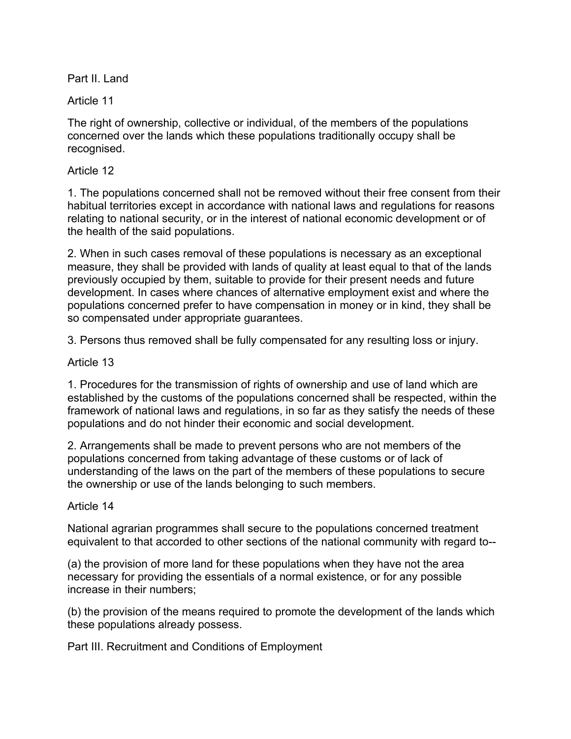Part II. Land

Article 11

The right of ownership, collective or individual, of the members of the populations concerned over the lands which these populations traditionally occupy shall be recognised.

### Article 12

1. The populations concerned shall not be removed without their free consent from their habitual territories except in accordance with national laws and regulations for reasons relating to national security, or in the interest of national economic development or of the health of the said populations.

2. When in such cases removal of these populations is necessary as an exceptional measure, they shall be provided with lands of quality at least equal to that of the lands previously occupied by them, suitable to provide for their present needs and future development. In cases where chances of alternative employment exist and where the populations concerned prefer to have compensation in money or in kind, they shall be so compensated under appropriate guarantees.

3. Persons thus removed shall be fully compensated for any resulting loss or injury.

# Article 13

1. Procedures for the transmission of rights of ownership and use of land which are established by the customs of the populations concerned shall be respected, within the framework of national laws and regulations, in so far as they satisfy the needs of these populations and do not hinder their economic and social development.

2. Arrangements shall be made to prevent persons who are not members of the populations concerned from taking advantage of these customs or of lack of understanding of the laws on the part of the members of these populations to secure the ownership or use of the lands belonging to such members.

### Article 14

National agrarian programmes shall secure to the populations concerned treatment equivalent to that accorded to other sections of the national community with regard to--

(a) the provision of more land for these populations when they have not the area necessary for providing the essentials of a normal existence, or for any possible increase in their numbers;

(b) the provision of the means required to promote the development of the lands which these populations already possess.

Part III. Recruitment and Conditions of Employment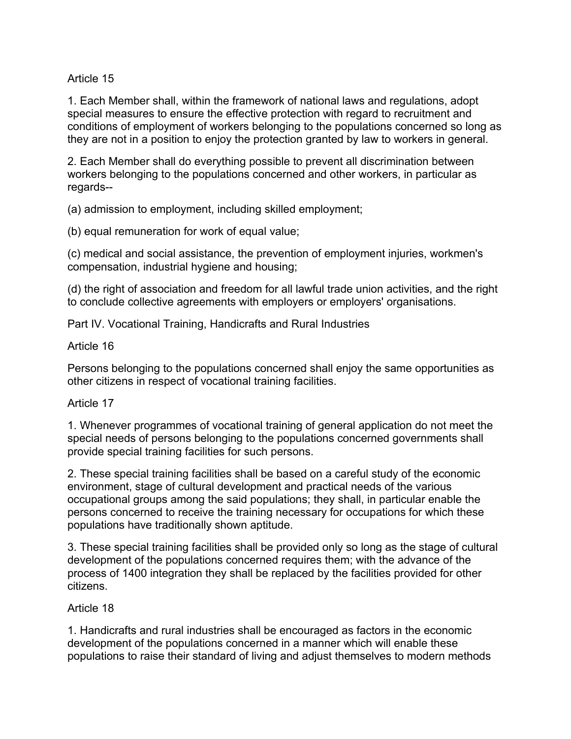Article 15

1. Each Member shall, within the framework of national laws and regulations, adopt special measures to ensure the effective protection with regard to recruitment and conditions of employment of workers belonging to the populations concerned so long as they are not in a position to enjoy the protection granted by law to workers in general.

2. Each Member shall do everything possible to prevent all discrimination between workers belonging to the populations concerned and other workers, in particular as regards--

(a) admission to employment, including skilled employment;

(b) equal remuneration for work of equal value;

(c) medical and social assistance, the prevention of employment injuries, workmen's compensation, industrial hygiene and housing;

(d) the right of association and freedom for all lawful trade union activities, and the right to conclude collective agreements with employers or employers' organisations.

Part IV. Vocational Training, Handicrafts and Rural Industries

Article 16

Persons belonging to the populations concerned shall enjoy the same opportunities as other citizens in respect of vocational training facilities.

### Article 17

1. Whenever programmes of vocational training of general application do not meet the special needs of persons belonging to the populations concerned governments shall provide special training facilities for such persons.

2. These special training facilities shall be based on a careful study of the economic environment, stage of cultural development and practical needs of the various occupational groups among the said populations; they shall, in particular enable the persons concerned to receive the training necessary for occupations for which these populations have traditionally shown aptitude.

3. These special training facilities shall be provided only so long as the stage of cultural development of the populations concerned requires them; with the advance of the process of 1400 integration they shall be replaced by the facilities provided for other citizens.

# Article 18

1. Handicrafts and rural industries shall be encouraged as factors in the economic development of the populations concerned in a manner which will enable these populations to raise their standard of living and adjust themselves to modern methods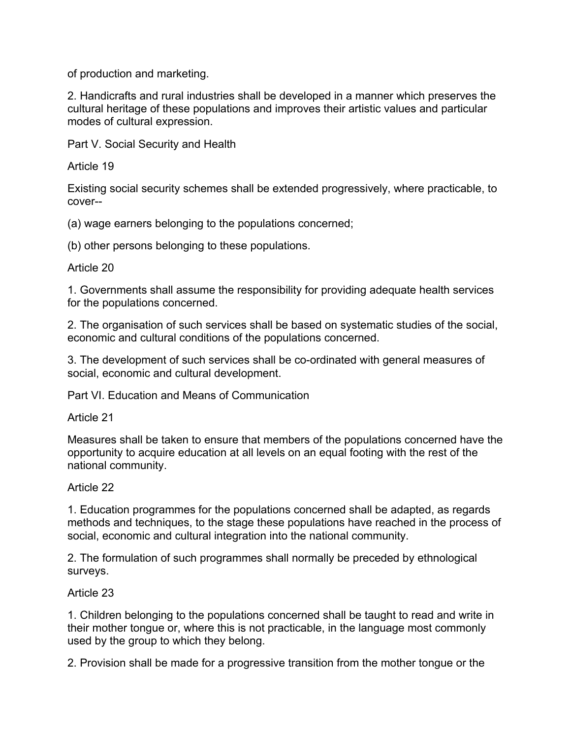of production and marketing.

2. Handicrafts and rural industries shall be developed in a manner which preserves the cultural heritage of these populations and improves their artistic values and particular modes of cultural expression.

Part V. Social Security and Health

Article 19

Existing social security schemes shall be extended progressively, where practicable, to cover--

(a) wage earners belonging to the populations concerned;

(b) other persons belonging to these populations.

# Article 20

1. Governments shall assume the responsibility for providing adequate health services for the populations concerned.

2. The organisation of such services shall be based on systematic studies of the social, economic and cultural conditions of the populations concerned.

3. The development of such services shall be co-ordinated with general measures of social, economic and cultural development.

Part VI. Education and Means of Communication

Article 21

Measures shall be taken to ensure that members of the populations concerned have the opportunity to acquire education at all levels on an equal footing with the rest of the national community.

# Article 22

1. Education programmes for the populations concerned shall be adapted, as regards methods and techniques, to the stage these populations have reached in the process of social, economic and cultural integration into the national community.

2. The formulation of such programmes shall normally be preceded by ethnological surveys.

# Article 23

1. Children belonging to the populations concerned shall be taught to read and write in their mother tongue or, where this is not practicable, in the language most commonly used by the group to which they belong.

2. Provision shall be made for a progressive transition from the mother tongue or the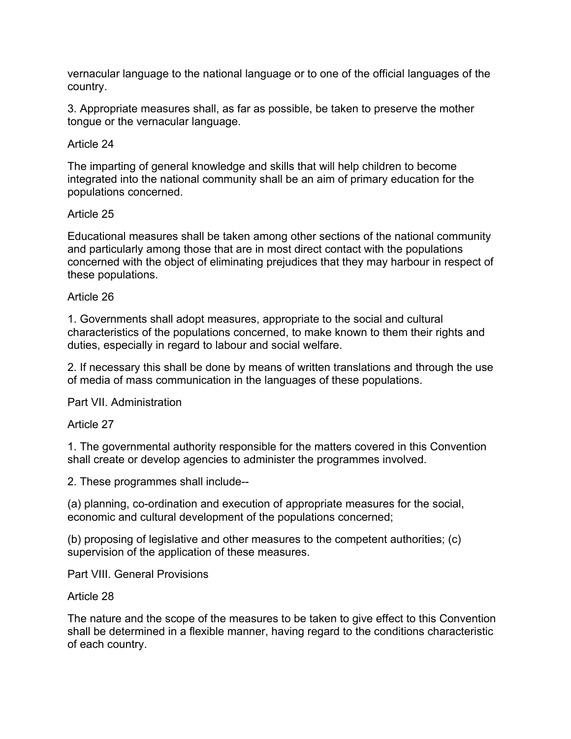vernacular language to the national language or to one of the official languages of the country.

3. Appropriate measures shall, as far as possible, be taken to preserve the mother tongue or the vernacular language.

### Article 24

The imparting of general knowledge and skills that will help children to become integrated into the national community shall be an aim of primary education for the populations concerned.

### Article 25

Educational measures shall be taken among other sections of the national community and particularly among those that are in most direct contact with the populations concerned with the object of eliminating prejudices that they may harbour in respect of these populations.

### Article 26

1. Governments shall adopt measures, appropriate to the social and cultural characteristics of the populations concerned, to make known to them their rights and duties, especially in regard to labour and social welfare.

2. If necessary this shall be done by means of written translations and through the use of media of mass communication in the languages of these populations.

Part VII. Administration

### Article 27

1. The governmental authority responsible for the matters covered in this Convention shall create or develop agencies to administer the programmes involved.

2. These programmes shall include--

(a) planning, co-ordination and execution of appropriate measures for the social, economic and cultural development of the populations concerned;

(b) proposing of legislative and other measures to the competent authorities; (c) supervision of the application of these measures.

Part VIII. General Provisions

Article 28

The nature and the scope of the measures to be taken to give effect to this Convention shall be determined in a flexible manner, having regard to the conditions characteristic of each country.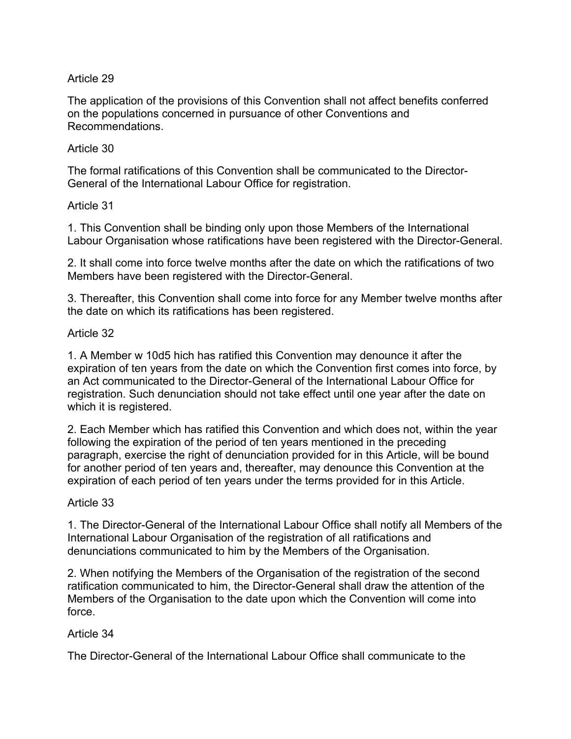# Article 29

The application of the provisions of this Convention shall not affect benefits conferred on the populations concerned in pursuance of other Conventions and Recommendations.

### Article 30

The formal ratifications of this Convention shall be communicated to the Director-General of the International Labour Office for registration.

### Article 31

1. This Convention shall be binding only upon those Members of the International Labour Organisation whose ratifications have been registered with the Director-General.

2. It shall come into force twelve months after the date on which the ratifications of two Members have been registered with the Director-General.

3. Thereafter, this Convention shall come into force for any Member twelve months after the date on which its ratifications has been registered.

# Article 32

1. A Member w 10d5 hich has ratified this Convention may denounce it after the expiration of ten years from the date on which the Convention first comes into force, by an Act communicated to the Director-General of the International Labour Office for registration. Such denunciation should not take effect until one year after the date on which it is registered.

2. Each Member which has ratified this Convention and which does not, within the year following the expiration of the period of ten years mentioned in the preceding paragraph, exercise the right of denunciation provided for in this Article, will be bound for another period of ten years and, thereafter, may denounce this Convention at the expiration of each period of ten years under the terms provided for in this Article.

### Article 33

1. The Director-General of the International Labour Office shall notify all Members of the International Labour Organisation of the registration of all ratifications and denunciations communicated to him by the Members of the Organisation.

2. When notifying the Members of the Organisation of the registration of the second ratification communicated to him, the Director-General shall draw the attention of the Members of the Organisation to the date upon which the Convention will come into force.

### Article 34

The Director-General of the International Labour Office shall communicate to the